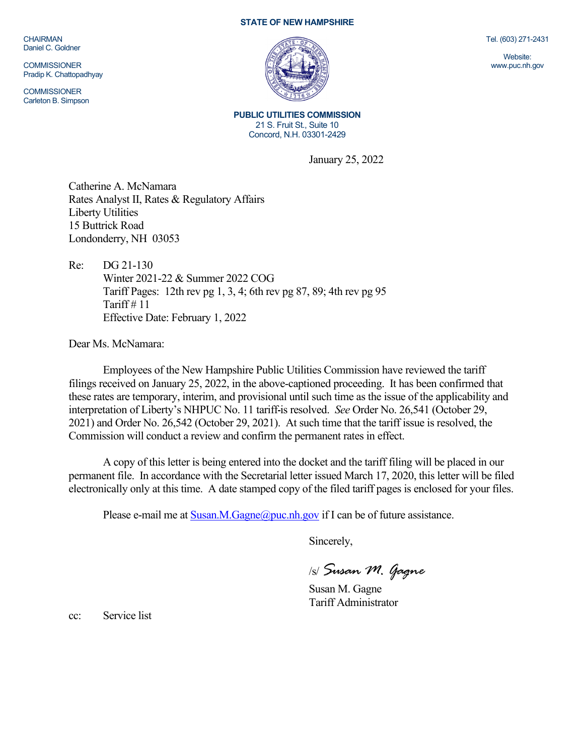CHAIRMAN Daniel C. Goldner

**COMMISSIONER** Pradip K. Chattopadhyay

**COMMISSIONER** Carleton B. Simpson

## **STATE OF NEW HAMPSHIRE**



**PUBLIC UTILITIES COMMISSION** 21 S. Fruit St., Suite 10 Concord, N.H. 03301-2429

January 25, 2022

Catherine A. McNamara Rates Analyst II, Rates & Regulatory Affairs Liberty Utilities 15 Buttrick Road Londonderry, NH 03053

Re: DG 21-130 Winter 2021-22 & Summer 2022 COG Tariff Pages: 12th rev pg 1, 3, 4; 6th rev pg 87, 89; 4th rev pg 95 Tariff  $\#$  11 Effective Date: February 1, 2022

Dear Ms. McNamara:

Employees of the New Hampshire Public Utilities Commission have reviewed the tariff filings received on January 25, 2022, in the above-captioned proceeding. It has been confirmed that these rates are temporary, interim, and provisional until such time as the issue of the applicability and interpretation of Liberty's NHPUC No. 11 tariff is resolved. *See* Order No. 26,541 (October 29, 2021) and Order No. 26,542 (October 29, 2021). At such time that the tariff issue is resolved, the Commission will conduct a review and confirm the permanent rates in effect.

A copy of this letter is being entered into the docket and the tariff filing will be placed in our permanent file. In accordance with the Secretarial letter issued March 17, 2020, this letter will be filed electronically only at this time. A date stamped copy of the filed tariff pages is enclosed for your files.

Please e-mail me at  $S$ usan.M.Gagne@puc.nh.gov if I can be of future assistance.

Sincerely,

/s/ *Susan M. Gagne*

Susan M. Gagne Tariff Administrator

cc: Service list

Tel. (603) 271-2431

Website: www.puc.nh.gov